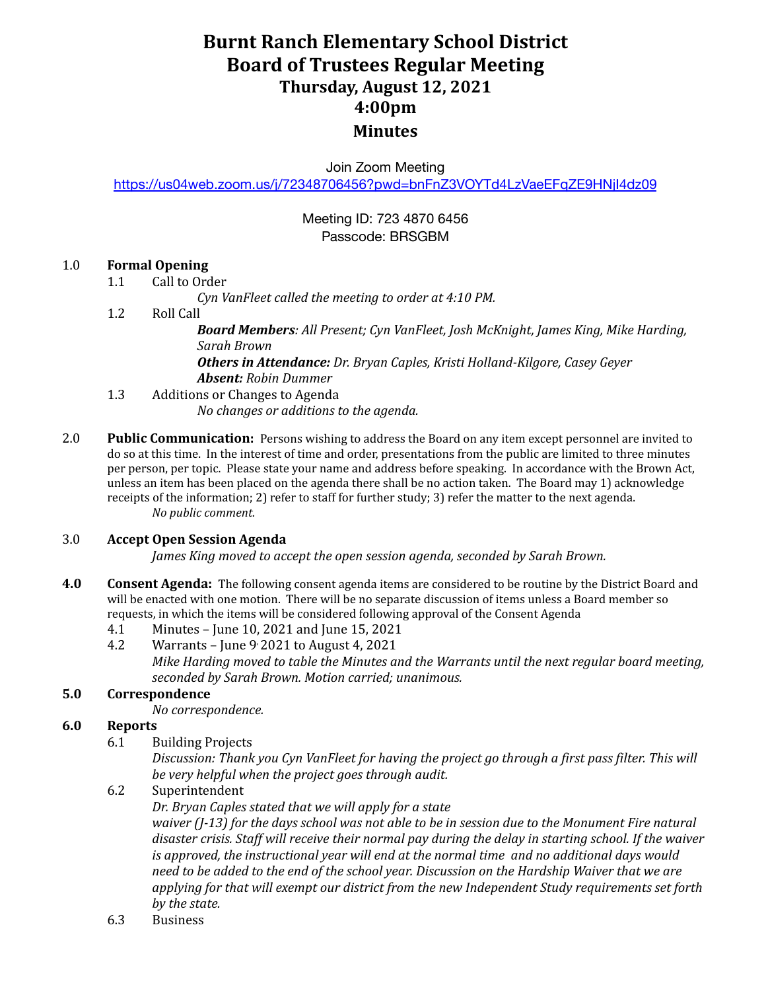## **Burnt Ranch Elementary School District Board of Trustees Regular Meeting Thursday, August 12, 2021 4:00pm Minutes**

Join Zoom Meeting

<https://us04web.zoom.us/j/72348706456?pwd=bnFnZ3VOYTd4LzVaeEFqZE9HNjI4dz09>

#### Meeting ID: 723 4870 6456 Passcode: BRSGBM

#### 1.0 **Formal Opening**

1.1 Call to Order

*Cyn VanFleet called the meeting to order at 4:10 PM.*

1.2 Roll Call

*Board Members: All Present; Cyn VanFleet, Josh McKnight, James King, Mike Harding, Sarah Brown*

*Others in Attendance: Dr. Bryan Caples, Kristi Holland-Kilgore, Casey Geyer Absent: Robin Dummer*

- 1.3 Additions or Changes to Agenda *No changes or additions to the agenda.*
- 2.0 **Public Communication:** Persons wishing to address the Board on any item except personnel are invited to do so at this time. In the interest of time and order, presentations from the public are limited to three minutes per person, per topic. Please state your name and address before speaking. In accordance with the Brown Act, unless an item has been placed on the agenda there shall be no action taken. The Board may 1) acknowledge receipts of the information; 2) refer to staff for further study; 3) refer the matter to the next agenda. *No public comment.*

#### 3.0 **Accept Open Session Agenda**

*James King moved to accept the open session agenda, seconded by Sarah Brown.*

- **4.0 Consent Agenda:** The following consent agenda items are considered to be routine by the District Board and will be enacted with one motion. There will be no separate discussion of items unless a Board member so requests, in which the items will be considered following approval of the Consent Agenda
	- 4.1 Minutes June 10, 2021 and June 15, 2021
	- 4.2 Warrants June 9 ,2021 to August 4, 2021 *Mike Harding moved to table the Minutes and the Warrants until the next regular board meeting, seconded by Sarah Brown. Motion carried; unanimous.*

#### **5.0 Correspondence**

*No correspondence.*

#### **6.0 Reports**

6.1 Building Projects

*Discussion: Thank you Cyn VanFleet for having the project go through a first pass filter. This will be very helpful when the project goes through audit.*

6.2 Superintendent

*Dr. Bryan Caples stated that we will apply for a state*

waiver  $(1-13)$  for the days school was not able to be in session due to the Monument Fire natural *disaster crisis. Staf will receive their normal pay during the delay in starting school. If the waiver is approved, the instructional year will end at the normal time and no additional days would* need to be added to the end of the school year. Discussion on the Hardship Waiver that we are *applying for that will exempt our district from the new Independent Study requirements set forth by the state.*

6.3 Business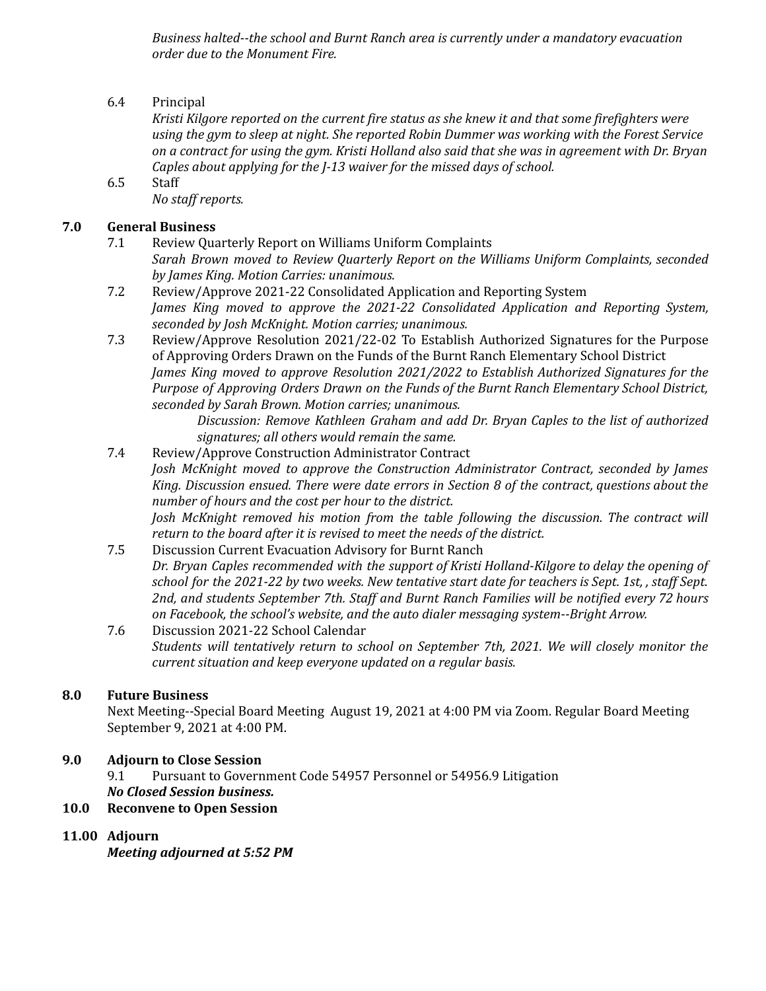*Business halted--the school and Burnt Ranch area is currently under a mandatory evacuation order due to the Monument Fire.*

6.4 Principal

*Kristi Kilgore reported on the current fire status as she knew it and that some firefighters were using the gym to sleep at night. She reported Robin Dummer was working with the Forest Service* on a contract for using the gym. Kristi Holland also said that she was in agreement with Dr. Bryan *Caples about applying for the J-13 waiver for the missed days of school.*

6.5 Staff *No staf reports.*

### **7.0 General Business**

- 7.1 Review Quarterly Report on Williams Uniform Complaints *Sarah Brown moved to Review Quarterly Report on the Williams Uniform Complaints, seconded by James King. Motion Carries: unanimous.*
- 7.2 Review/Approve 2021-22 Consolidated Application and Reporting System *James King moved to approve the 2021-22 Consolidated Application and Reporting System, seconded by Josh McKnight. Motion carries; unanimous.*
- 7.3 Review/Approve Resolution 2021/22-02 To Establish Authorized Signatures for the Purpose of Approving Orders Drawn on the Funds of the Burnt Ranch Elementary School District *James King moved to approve Resolution 2021/2022 to Establish Authorized Signatures for the Purpose of Approving Orders Drawn on the Funds of the Burnt Ranch Elementary School District, seconded by Sarah Brown. Motion carries; unanimous.*

*Discussion: Remove Kathleen Graham and add Dr. Bryan Caples to the list of authorized signatures; all others would remain the same.*

- 7.4 Review/Approve Construction Administrator Contract *Josh McKnight moved to approve the Construction Administrator Contract, seconded by James King. Discussion ensued. There were date errors in Section 8 of the contract, questions about the number of hours and the cost per hour to the district. Josh McKnight removed his motion from the table following the discussion. The contract will return to the board after it is revised to meet the needs of the district.*
- 7.5 Discussion Current Evacuation Advisory for Burnt Ranch *Dr. Bryan Caples recommended with the support of Kristi Holland-Kilgore to delay the opening of* school for the 2021-22 by two weeks. New tentative start date for teachers is Sept. 1st, , staff Sept. *2nd, and students September 7th. Staf and Burnt Ranch Families will be notified every 72 hours on Facebook, the school's website, and the auto dialer messaging system--Bright Arrow.*
- 7.6 Discussion 2021-22 School Calendar *Students will tentatively return to school on September 7th, 2021. We will closely monitor the current situation and keep everyone updated on a regular basis.*

#### **8.0 Future Business**

Next Meeting--Special Board Meeting August 19, 2021 at 4:00 PM via Zoom. Regular Board Meeting September 9, 2021 at 4:00 PM.

### **9.0 Adjourn to Close Session**

9.1 Pursuant to Government Code 54957 Personnel or 54956.9 Litigation *No Closed Session business.*

#### **10.0 Reconvene to Open Session**

### **11.00 Adjourn**

*Meeting adjourned at 5:52 PM*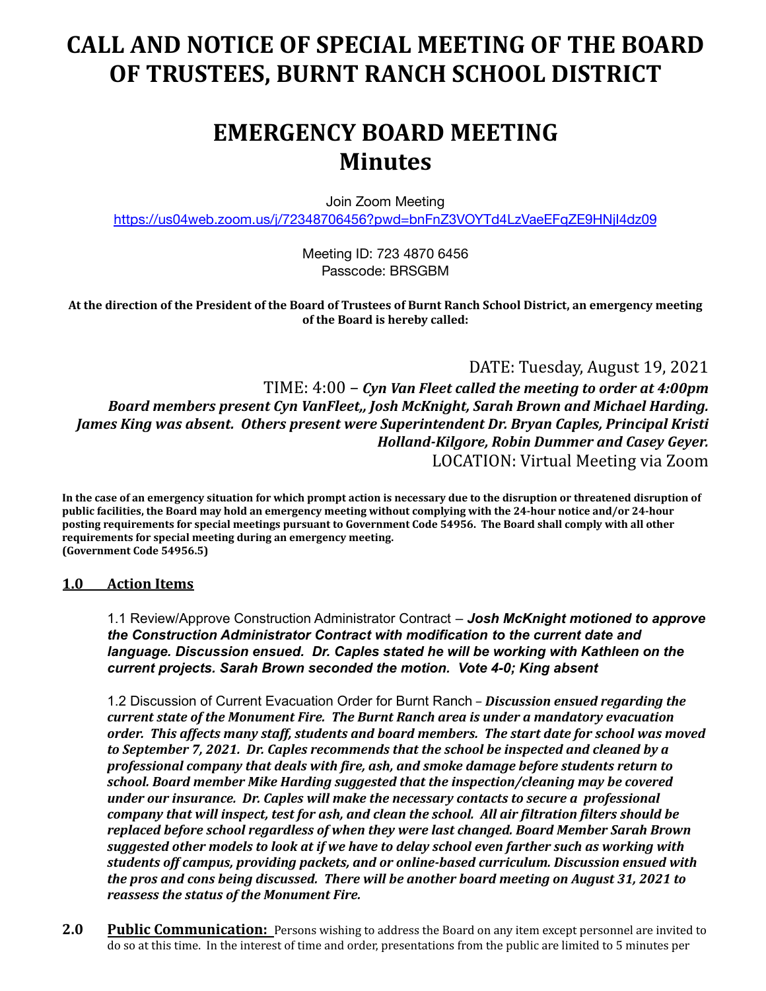# **CALL AND NOTICE OF SPECIAL MEETING OF THE BOARD OF TRUSTEES, BURNT RANCH SCHOOL DISTRICT**

## **EMERGENCY BOARD MEETING Minutes**

Join Zoom Meeting

<https://us04web.zoom.us/j/72348706456?pwd=bnFnZ3VOYTd4LzVaeEFqZE9HNjI4dz09>

Meeting ID: 723 4870 6456 Passcode: BRSGBM

At the direction of the President of the Board of Trustees of Burnt Ranch School District, an emergency meeting **of the Board is hereby called:**

DATE: Tuesday, August 19, 2021

TIME: 4:00 – *Cyn Van Fleet called the meeting to order at 4:00pm Board members present Cyn VanFleet,, Josh McKnight, Sarah Brown and Michael Harding. James King was absent. Others present were Superintendent Dr. Bryan Caples, Principal Kristi Holland-Kilgore, Robin Dummer and Casey Geyer.* LOCATION: Virtual Meeting via Zoom

**In the case of an emergency situation for which prompt action is necessary due to the disruption or threatened disruption of public facilities, the Board may hold an emergency meeting without complying with the 24-hour notice and/or 24-hour posting requirements for special meetings pursuant to Government Code 54956. The Board shall comply with all other requirements for special meeting during an emergency meeting. (Government Code 54956.5)**

#### **1.0 Action Items**

1.1 Review/Approve Construction Administrator Contract – *Josh McKnight motioned to approve the Construction Administrator Contract with modification to the current date and language. Discussion ensued. Dr. Caples stated he will be working with Kathleen on the current projects. Sarah Brown seconded the motion. Vote 4-0; King absent*

1.2 Discussion of Current Evacuation Order for Burnt Ranch – *Discussion ensued regarding the current state of the Monument Fire. The Burnt Ranch area is under a mandatory evacuation order. This affects many staff, students and board members. The start date for school was moved to September 7, 2021. Dr. Caples recommends that the school be inspected and cleaned by a professional company that deals with fire, ash, and smoke damage before students return to school. Board member Mike Harding suggested that the inspection/cleaning may be covered under our insurance. Dr. Caples will make the necessary contacts to secure a professional company that will inspect, test for ash, and clean the school. All air filtration filters should be replaced before school regardless of when they were last changed. Board Member Sarah Brown suggested other models to look at if we have to delay school even farther such as working with students off campus, providing packets, and or online-based curriculum. Discussion ensued with the pros and cons being discussed. There will be another board meeting on August 31, 2021 to reassess the status of the Monument Fire.*

**2.0 Public Communication:** Persons wishing to address the Board on any item except personnel are invited to do so at this time. In the interest of time and order, presentations from the public are limited to 5 minutes per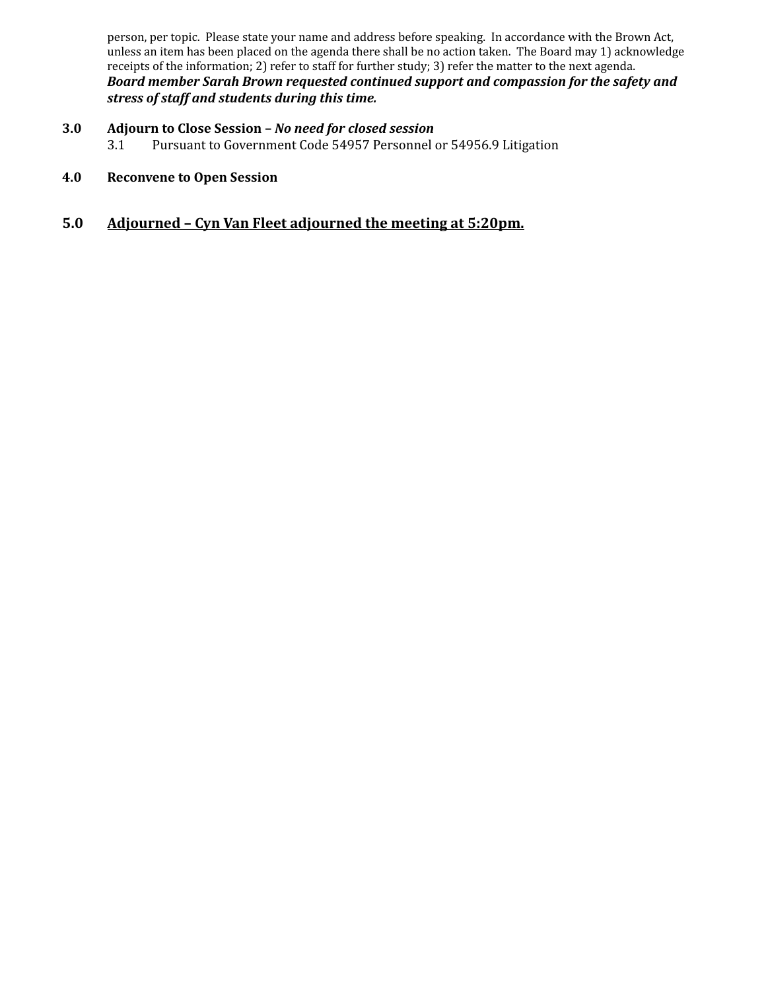person, per topic. Please state your name and address before speaking. In accordance with the Brown Act, unless an item has been placed on the agenda there shall be no action taken. The Board may 1) acknowledge receipts of the information; 2) refer to staff for further study; 3) refer the matter to the next agenda. *Board member Sarah Brown requested continued support and compassion for the safety and stress of staff and students during this time.*

- **3.0 Adjourn to Close Session –** *No need for closed session* 3.1 Pursuant to Government Code 54957 Personnel or 54956.9 Litigation
- **4.0 Reconvene to Open Session**
- **5.0 Adjourned Cyn Van Fleet adjourned the meeting at 5:20pm.**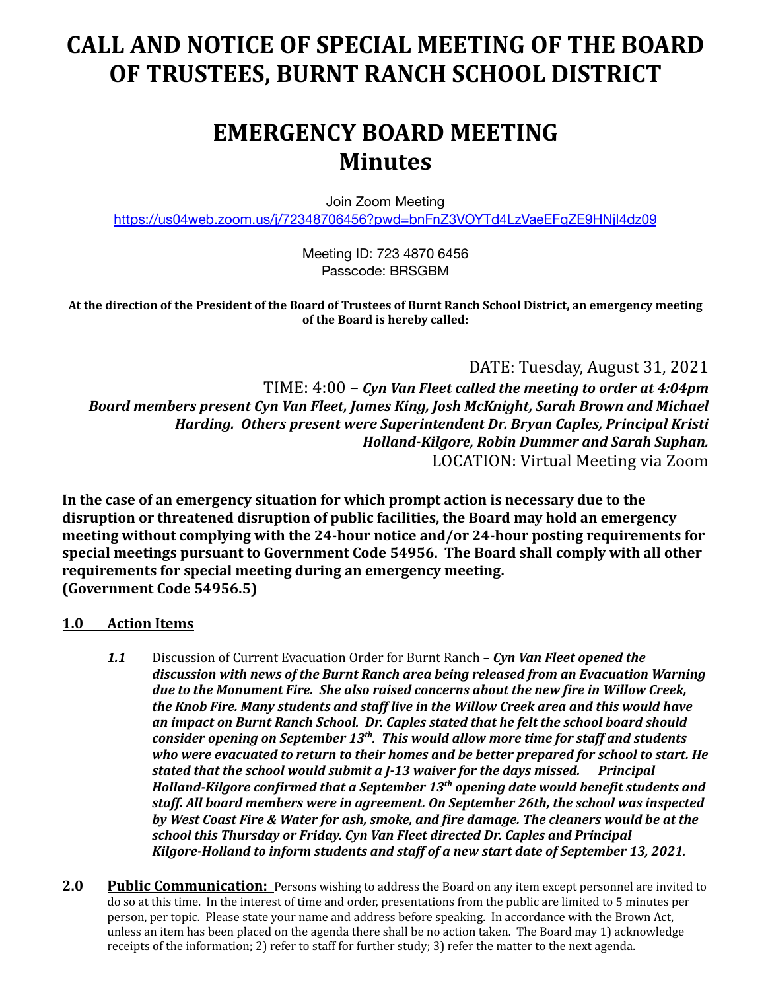# **CALL AND NOTICE OF SPECIAL MEETING OF THE BOARD OF TRUSTEES, BURNT RANCH SCHOOL DISTRICT**

## **EMERGENCY BOARD MEETING Minutes**

Join Zoom Meeting

<https://us04web.zoom.us/j/72348706456?pwd=bnFnZ3VOYTd4LzVaeEFqZE9HNjI4dz09>

Meeting ID: 723 4870 6456 Passcode: BRSGBM

At the direction of the President of the Board of Trustees of Burnt Ranch School District, an emergency meeting **of the Board is hereby called:**

DATE: Tuesday, August 31, 2021

TIME: 4:00 – *Cyn Van Fleet called the meeting to order at 4:04pm Board members present Cyn Van Fleet, James King, Josh McKnight, Sarah Brown and Michael Harding. Others present were Superintendent Dr. Bryan Caples, Principal Kristi Holland-Kilgore, Robin Dummer and Sarah Suphan.* LOCATION: Virtual Meeting via Zoom

**In the case of an emergency situation for which prompt action is necessary due to the disruption or threatened disruption of public facilities, the Board may hold an emergency meeting without complying with the 24-hour notice and/or 24-hour posting requirements for special meetings pursuant to Government Code 54956. The Board shall comply with all other requirements for special meeting during an emergency meeting. (Government Code 54956.5)**

### **1.0 Action Items**

- *1.1* Discussion of Current Evacuation Order for Burnt Ranch *Cyn Van Fleet opened the discussion with news of the Burnt Ranch area being released from an Evacuation Warning due to the Monument Fire. She also raised concerns about the new fire in Willow Creek, the Knob Fire. Many students and staff live in the Willow Creek area and this would have an impact on Burnt Ranch School. Dr. Caples stated that he felt the school board should consider opening on September 13 th . This would allow more time for staff and students who were evacuated to return to their homes and be better prepared for school to start. He stated that the school would submit a J-13 waiver for the days missed. Principal Holland-Kilgore confirmed that a September 13 th opening date would benefit students and staff. All board members were in agreement. On September 26th, the school was inspected by West Coast Fire & Water for ash, smoke, and fire damage. The cleaners would be at the school this Thursday or Friday. Cyn Van Fleet directed Dr. Caples and Principal Kilgore-Holland to inform students and staff of a new start date of September 13, 2021.*
- 2.0 **Public Communication:** Persons wishing to address the Board on any item except personnel are invited to do so at this time. In the interest of time and order, presentations from the public are limited to 5 minutes per person, per topic. Please state your name and address before speaking. In accordance with the Brown Act, unless an item has been placed on the agenda there shall be no action taken. The Board may 1) acknowledge receipts of the information; 2) refer to staff for further study; 3) refer the matter to the next agenda.